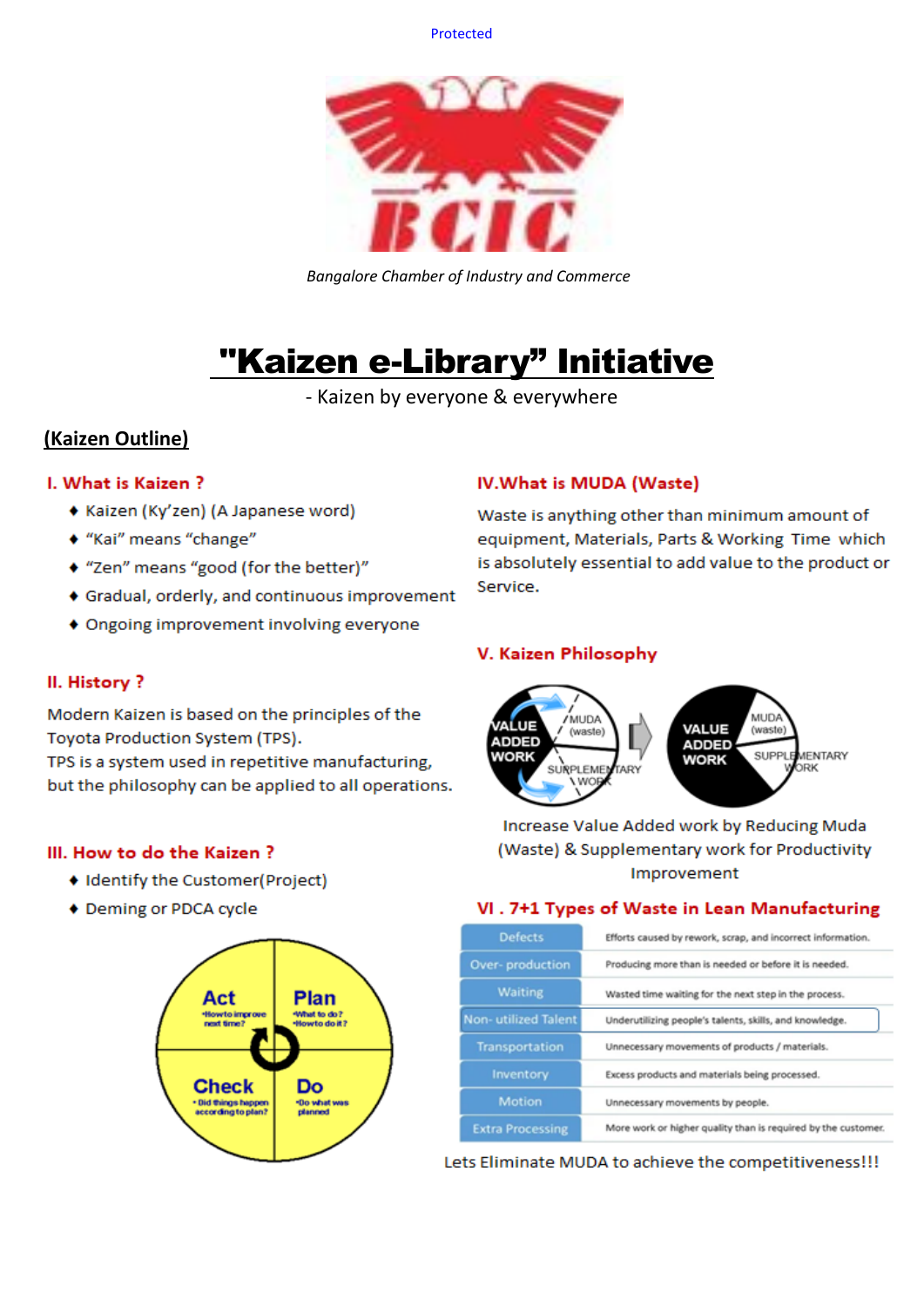Protected



*Bangalore Chamber of Industry and Commerce*

# "Kaizen e-Library" Initiative

- Kaizen by everyone & everywhere

## **(Kaizen Outline)**

## I. What is Kaizen?

- ◆ Kaizen (Ky'zen) (A Japanese word)
- ◆ "Kai" means "change"
- ◆ "Zen" means "good (for the better)"
- ♦ Gradual, orderly, and continuous improvement
- ♦ Ongoing improvement involving everyone

## II. History?

Modern Kaizen is based on the principles of the Toyota Production System (TPS).

TPS is a system used in repetitive manufacturing, but the philosophy can be applied to all operations.

#### III. How to do the Kaizen?

- ♦ Identify the Customer(Project)
- ♦ Deming or PDCA cycle



## IV. What is MUDA (Waste)

Waste is anything other than minimum amount of equipment, Materials, Parts & Working Time which is absolutely essential to add value to the product or Service.

## V. Kaizen Philosophy



Increase Value Added work by Reducing Muda (Waste) & Supplementary work for Productivity Improvement

## VI. 7+1 Types of Waste in Lean Manufacturing

| <b>Defects</b>          | Efforts caused by rework, scrap, and incorrect information.   |  |  |  |  |  |
|-------------------------|---------------------------------------------------------------|--|--|--|--|--|
| Over-production         | Producing more than is needed or before it is needed.         |  |  |  |  |  |
| <b>Waiting</b>          | Wasted time waiting for the next step in the process.         |  |  |  |  |  |
| Non-utilized Talent     | Underutilizing people's talents, skills, and knowledge.       |  |  |  |  |  |
| Transportation          | Unnecessary movements of products / materials.                |  |  |  |  |  |
| Inventory               | Excess products and materials being processed.                |  |  |  |  |  |
| Motion                  | Unnecessary movements by people.                              |  |  |  |  |  |
| <b>Extra Processing</b> | More work or higher quality than is required by the customer. |  |  |  |  |  |

Lets Eliminate MUDA to achieve the competitiveness!!!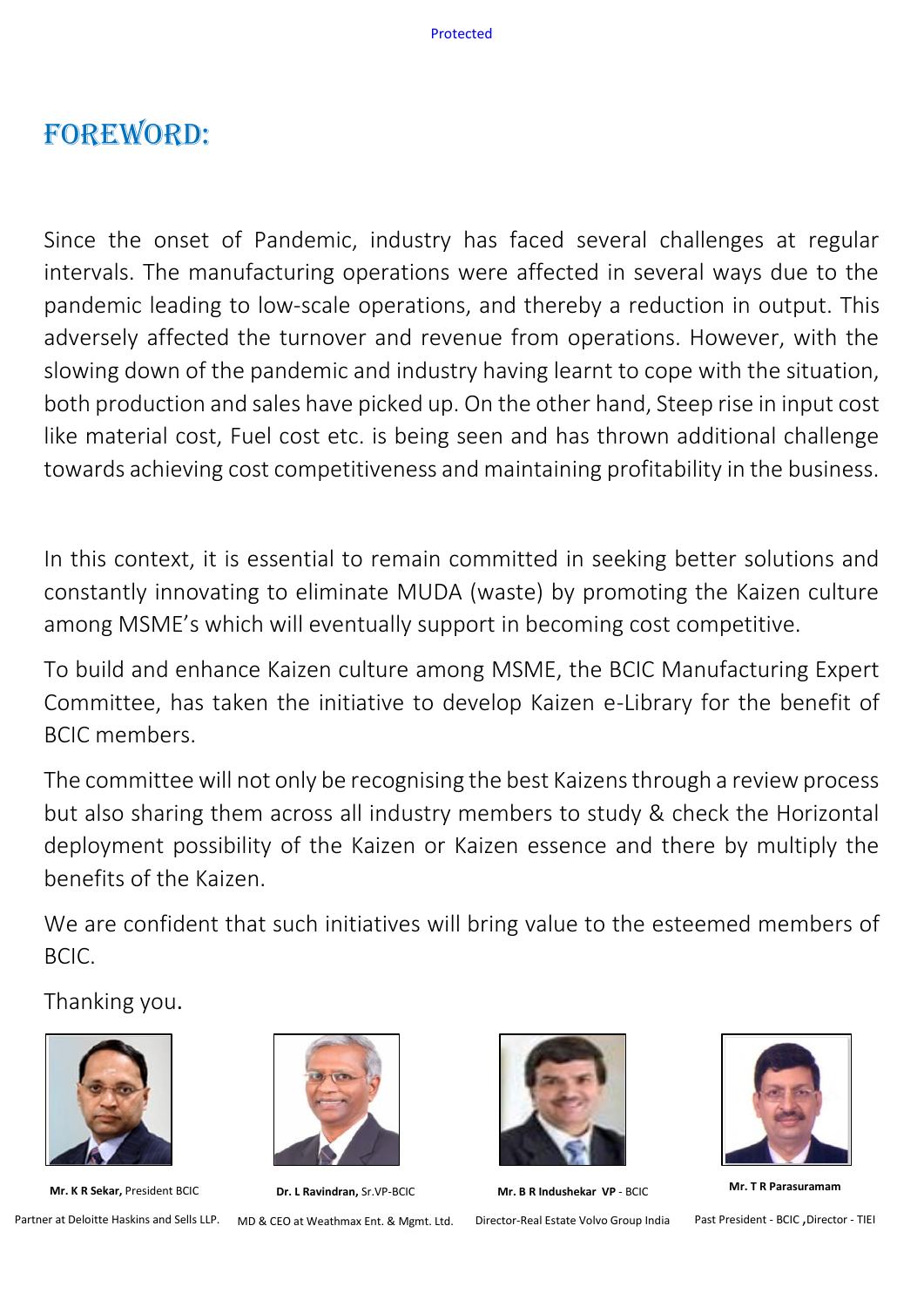# Foreword:

Since the onset of Pandemic, industry has faced several challenges at regular intervals. The manufacturing operations were affected in several ways due to the pandemic leading to low-scale operations, and thereby a reduction in output. This adversely affected the turnover and revenue from operations. However, with the slowing down of the pandemic and industry having learnt to cope with the situation, both production and sales have picked up. On the other hand, Steep rise in input cost like material cost, Fuel cost etc. is being seen and has thrown additional challenge towards achieving cost competitiveness and maintaining profitability in the business.

In this context, it is essential to remain committed in seeking better solutions and constantly innovating to eliminate MUDA (waste) by promoting the Kaizen culture among MSME's which will eventually support in becoming cost competitive.

To build and enhance Kaizen culture among MSME, the BCIC Manufacturing Expert Committee, has taken the initiative to develop Kaizen e-Library for the benefit of BCIC members.

The committee will not only be recognising the best Kaizens through a review process but also sharing them across all industry members to study & check the Horizontal deployment possibility of the Kaizen or Kaizen essence and there by multiply the benefits of the Kaizen.

We are confident that such initiatives will bring value to the esteemed members of BCIC.

Thanking you.



**Mr. K R Sekar,** President BCIC



**Dr. L Ravindran,** Sr.VP-BCIC

Partner at Deloitte Haskins and Sells LLP. MD & CEO at Weathmax Ent. & Mgmt. Ltd.



**Mr. B R Indushekar VP** - BCIC Director-Real Estate Volvo Group India



**Mr. T R Parasuramam**

Past President - BCIC ,Director - TIEI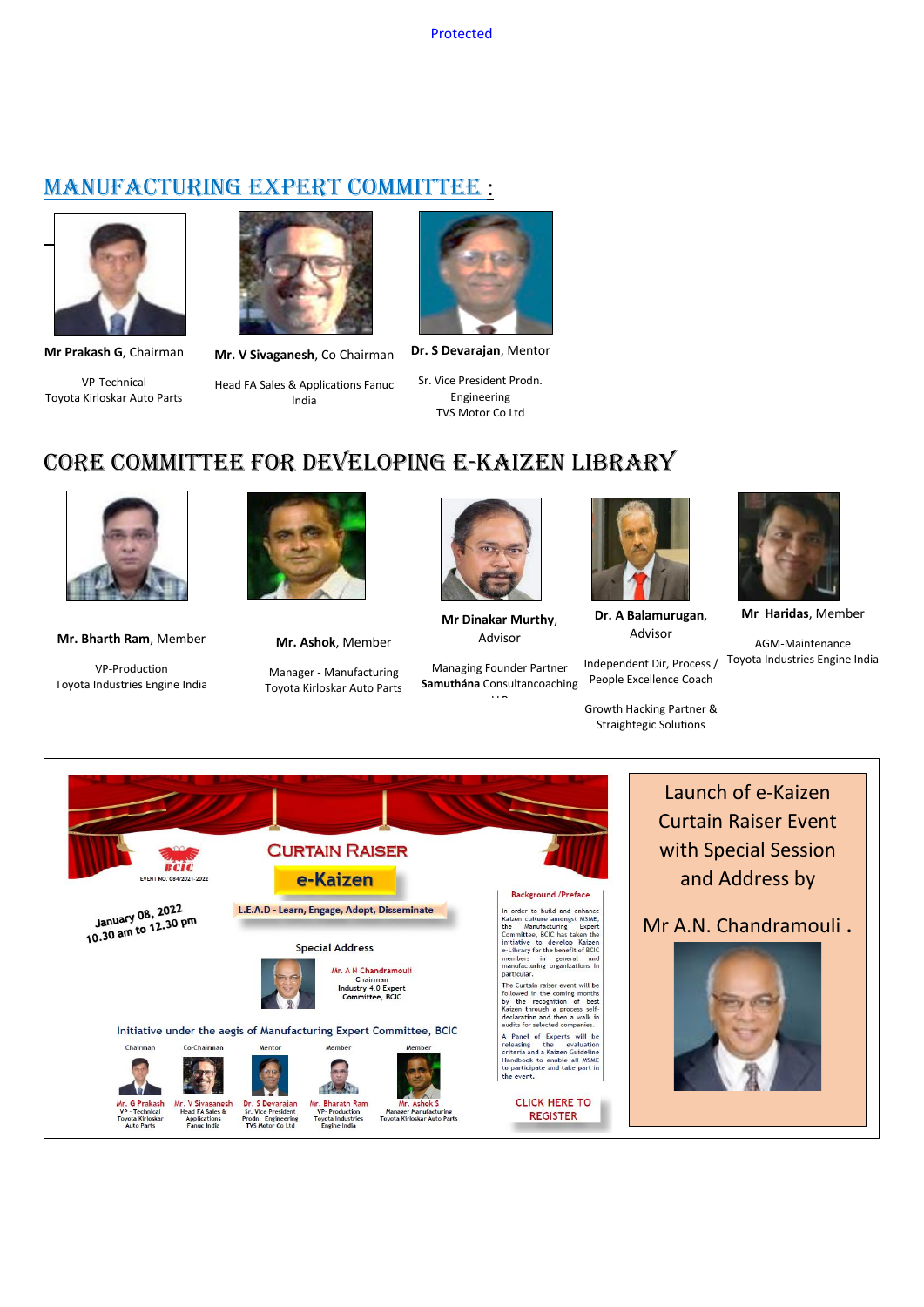## MANUFACTURING EXPERT COMMITTEE :



**Mr Prakash G**, Chairman

VP-Technical Toyota Kirloskar Auto Parts



**Mr. V Sivaganesh**, Co Chairman

Head FA Sales & Applications Fanuc India



**Dr. S Devarajan**, Mentor

Sr. Vice President Prodn. Engineering TVS Motor Co Ltd

## Core Committee for Developing e-Kaizen Library



**Mr. Bharth Ram**, Member

VP-Production Toyota Industries Engine India



**Mr. Ashok**, Member

Manager - Manufacturing Toyota Kirloskar Auto Parts



**Mr Dinakar Murthy**, Advisor

Managing Founder Partner **Samuthána** Consultancoaching

 $\mathbb{R}^n$ 



**Dr. A Balamurugan**, Advisor

Independent Dir, Process / People Excellence Coach

Growth Hacking Partner & Straightegic Solutions



**Mr Haridas**, Member

AGM-Maintenance Toyota Industries Engine India



Launch of e-Kaizen Curtain Raiser Event with Special Session and Address by

Mr A.N. Chandramouli .

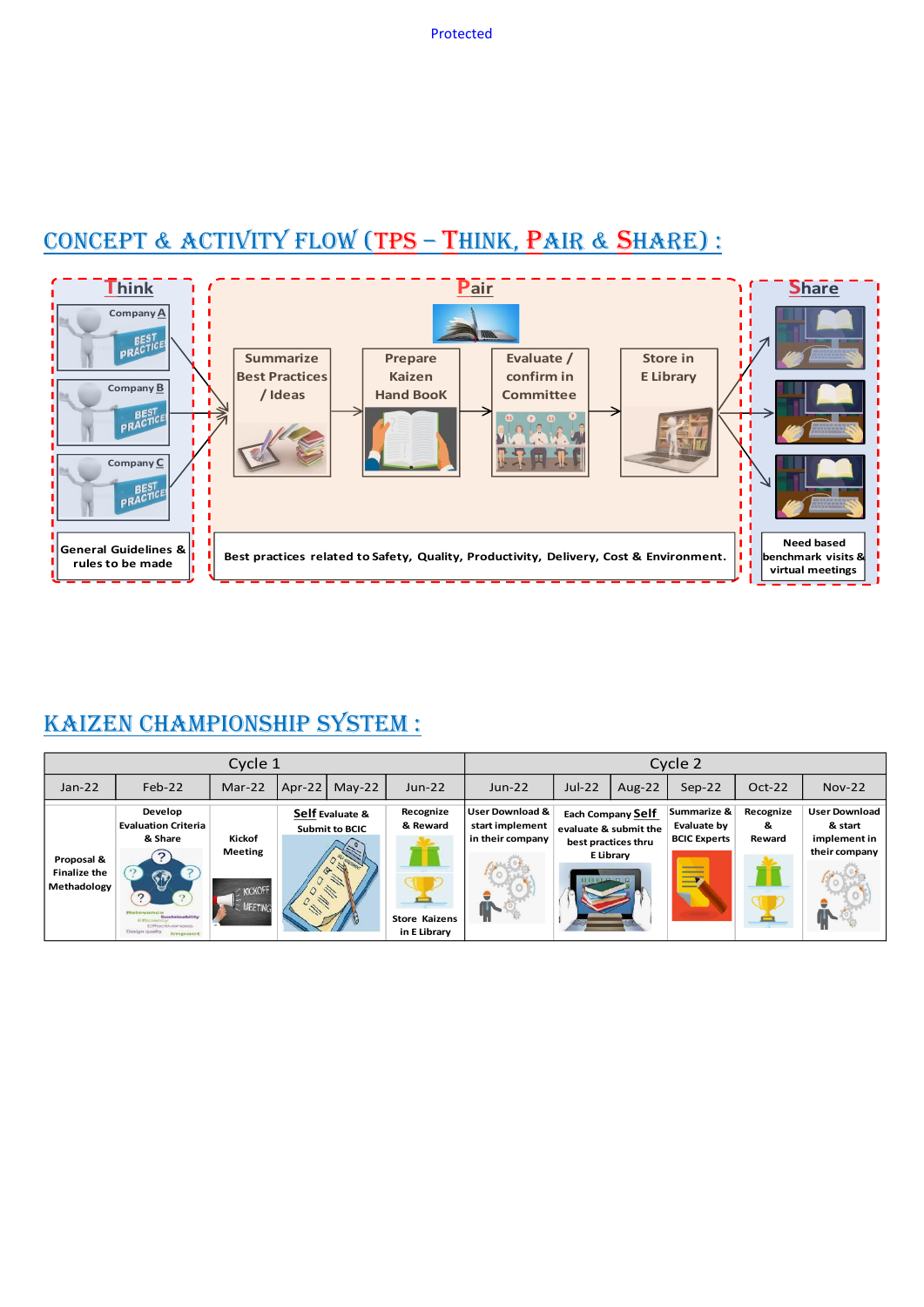# CONCEPT & ACTIVITY FLOW (TPS - THINK, PAIR & SHARE) :



# KAIZEN CHAMPIONSHIP SYSTEM :

| Cycle 1                                          |                                                                                                                                                                                                   |                                                       |        |                                          | Cycle 2                                                       |                                                                   |                                                |                                                              |                                                                        |                          |                                                                  |
|--------------------------------------------------|---------------------------------------------------------------------------------------------------------------------------------------------------------------------------------------------------|-------------------------------------------------------|--------|------------------------------------------|---------------------------------------------------------------|-------------------------------------------------------------------|------------------------------------------------|--------------------------------------------------------------|------------------------------------------------------------------------|--------------------------|------------------------------------------------------------------|
| $Jan-22$                                         | $Feb-22$                                                                                                                                                                                          | Mar-22                                                | Apr-22 | $May-22$                                 | $Jun-22$                                                      | $Jun-22$                                                          | $Jul-22$                                       | Aug- $22$                                                    | $Sep-22$                                                               | Oct-22                   | <b>Nov-22</b>                                                    |
| Proposal &<br><b>Finalize the</b><br>Methadology | Develop<br><b>Evaluation Criteria</b><br>& Share<br>$\spadesuit$<br>$\overline{?}$<br>$\gamma$<br>Relevance<br>Sustainability<br><b>El tholeino</b><br>Effectiveness<br>Design quality<br>Impound | Kickof<br><b>Meeting</b><br>KICKOFF<br><b>MEETING</b> |        | Self Evaluate &<br><b>Submit to BCIC</b> | Recognize<br>& Reward<br><b>Store Kaizens</b><br>in E Library | <b>User Download &amp;</b><br>start implement<br>in their company | evaluate & submit the<br><b>13 13 13 17 17</b> | <b>Each Company Self</b><br>best practices thru<br>E Library | Summarize &<br>Evaluate by<br><b>BCIC Experts</b><br>___<br>___<br>___ | Recognize<br>&<br>Reward | <b>User Download</b><br>& start<br>implement in<br>their company |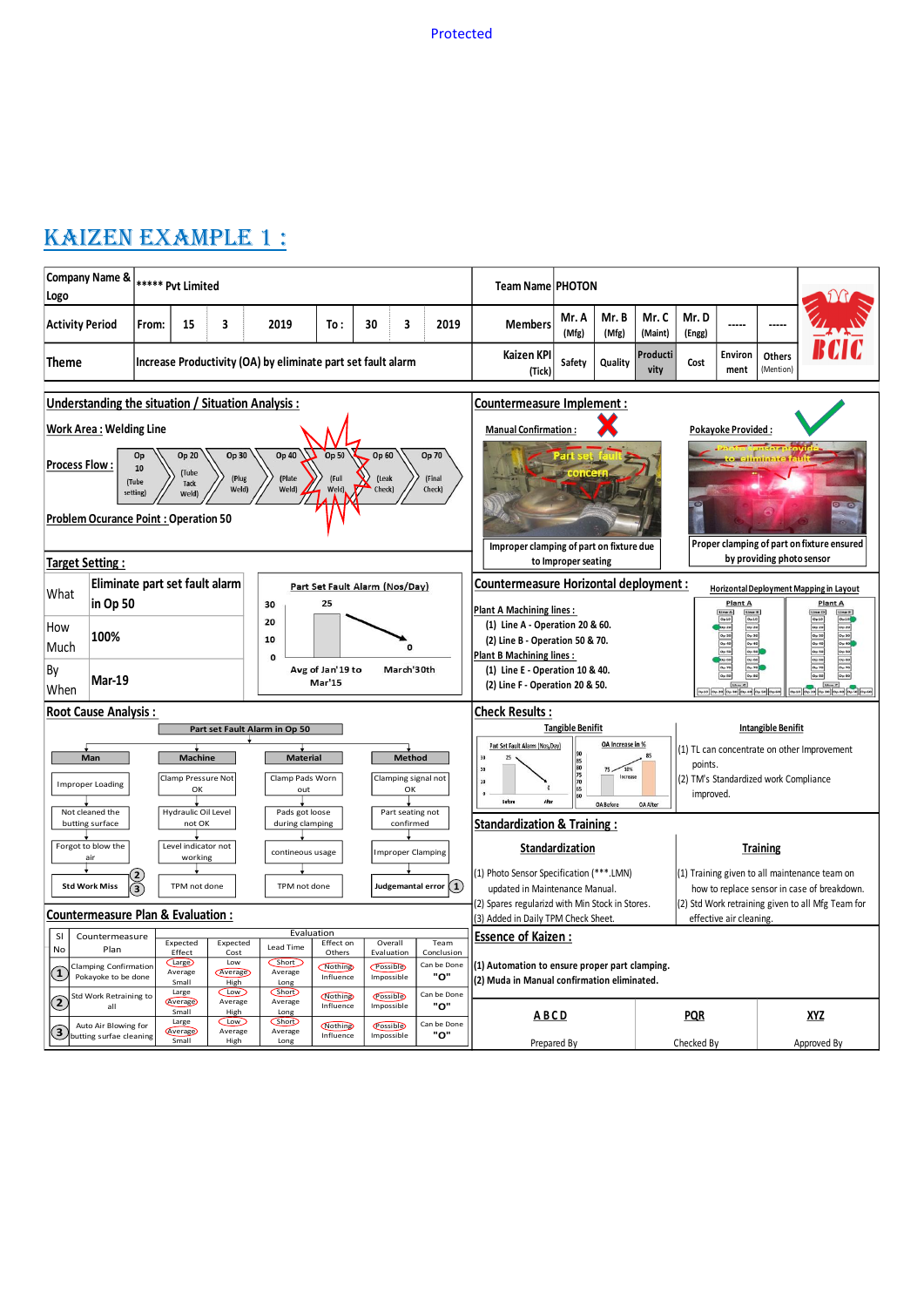## Kaizen Example 1 :

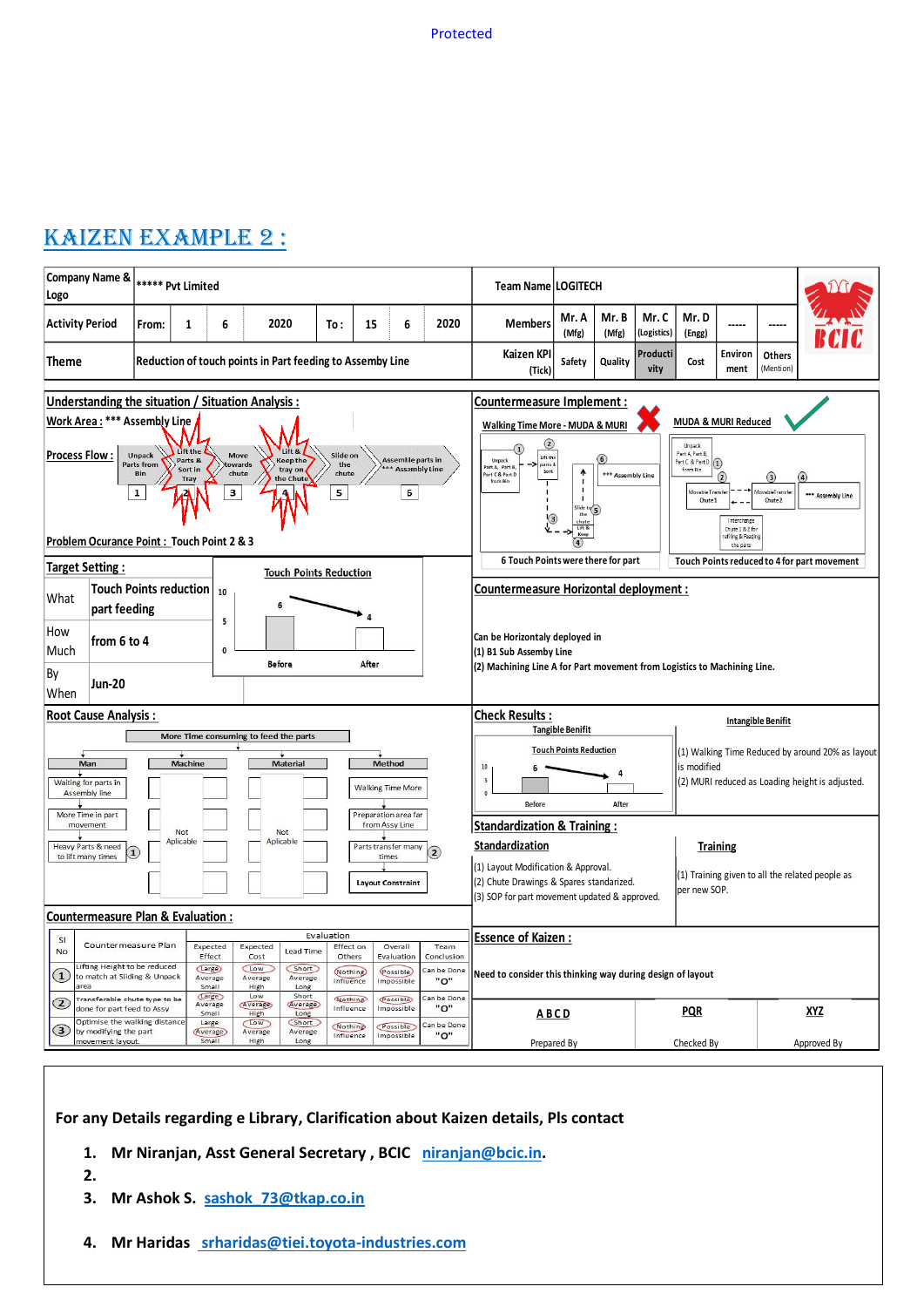# Kaizen Example 2 :



**For any Details regarding e Library, Clarification about Kaizen details, Pls contact** 

- **1. Mr Niranjan, Asst General Secretary , BCIC [niranjan@bcic.in.](mailto:niranjan@bcic.in)**
- **2.**
- **3. Mr Ashok S. [sashok\\_73@tkap.co.in](mailto:sashok_73@tkap.co.in)**
- **4. Mr Haridas [srharidas@tiei.toyota-industries.com](mailto:%20srharidas@tiei.toyota-industries.com)**